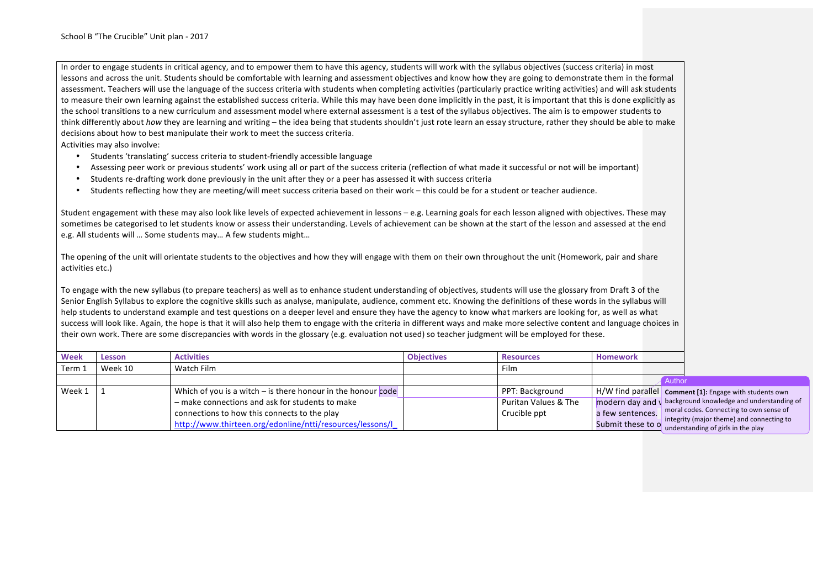In order to engage students in critical agency, and to empower them to have this agency, students will work with the syllabus objectives (success criteria) in most lessons and across the unit. Students should be comfortable with learning and assessment objectives and know how they are going to demonstrate them in the formal assessment. Teachers will use the language of the success criteria with students when completing activities (particularly practice writing activities) and will ask students to measure their own learning against the established success criteria. While this may have been done implicitly in the past, it is important that this is done explicitly as the school transitions to a new curriculum and assessment model where external assessment is a test of the syllabus objectives. The aim is to empower students to think differently about *how* they are learning and writing – the idea being that students shouldn't just rote learn an essay structure, rather they should be able to make decisions about how to best manipulate their work to meet the success criteria.

Activities may also involve:

- Students 'translating' success criteria to student-friendly accessible language
- Assessing peer work or previous students' work using all or part of the success criteria (reflection of what made it successful or not will be important)
- Students re-drafting work done previously in the unit after they or a peer has assessed it with success criteria
- Students reflecting how they are meeting/will meet success criteria based on their work this could be for a student or teacher audience.

Student engagement with these may also look like levels of expected achievement in lessons – e.g. Learning goals for each lesson aligned with objectives. These may sometimes be categorised to let students know or assess their understanding. Levels of achievement can be shown at the start of the lesson and assessed at the end e.g. All students will ... Some students may... A few students might...

The opening of the unit will orientate students to the objectives and how they will engage with them on their own throughout the unit (Homework, pair and share activities etc.)

To engage with the new syllabus (to prepare teachers) as well as to enhance student understanding of objectives, students will use the glossary from Draft 3 of the Senior English Syllabus to explore the cognitive skills such as analyse, manipulate, audience, comment etc. Knowing the definitions of these words in the syllabus will help students to understand example and test questions on a deeper level and ensure they have the agency to know what markers are looking for, as well as what success will look like. Again, the hope is that it will also help them to engage with the criteria in different ways and make more selective content and language choices in their own work. There are some discrepancies with words in the glossary (e.g. evaluation not used) so teacher judgment will be employed for these.

| Week   | Lesson  | <b>Activities</b>                                              | <b>Objectives</b> | <b>Resources</b>     | <b>Homework</b>  |                                                                                                   |
|--------|---------|----------------------------------------------------------------|-------------------|----------------------|------------------|---------------------------------------------------------------------------------------------------|
| Term 1 | Week 10 | Watch Film                                                     |                   | Film                 |                  |                                                                                                   |
|        |         |                                                                |                   |                      |                  | Author                                                                                            |
| Week 1 |         | Which of you is a witch $-$ is there honour in the honour code |                   | PPT: Background      |                  | $\mid$ H/W find parallel <b>Comment</b> [1]: Engage with students own                             |
|        |         | - make connections and ask for students to make                |                   | Puritan Values & The |                  | $\mathsf{I}$ modern day and $\mathsf{V}$ background knowledge and understanding of                |
|        |         | connections to how this connects to the play                   |                   | Crucible ppt         | a few sentences. | moral codes. Connecting to own sense of                                                           |
|        |         | http://www.thirteen.org/edonline/ntti/resources/lessons/l      |                   |                      |                  | integrity (major theme) and connecting to<br>Submit these to o understanding of girls in the play |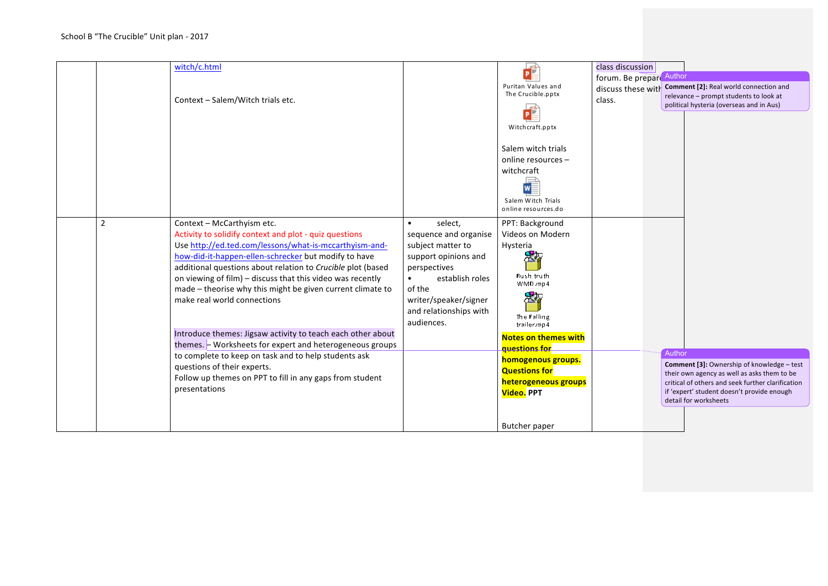|                | witch/c.html<br>Context - Salem/Witch trials etc.                                                                                                                                                                                                                                                                                                                                                                                |                                                                                                                                                                                                                       | Puritan Values and<br>The Crucible.pptx<br>Witchcraft.pptx                                                                                        | class discussion<br>forum. Be prepare Author<br>discuss these with<br>class. |        | Comment [2]: Real world connection and<br>relevance - prompt students to look at<br>political hysteria (overseas and in Aus)                                                                                          |
|----------------|----------------------------------------------------------------------------------------------------------------------------------------------------------------------------------------------------------------------------------------------------------------------------------------------------------------------------------------------------------------------------------------------------------------------------------|-----------------------------------------------------------------------------------------------------------------------------------------------------------------------------------------------------------------------|---------------------------------------------------------------------------------------------------------------------------------------------------|------------------------------------------------------------------------------|--------|-----------------------------------------------------------------------------------------------------------------------------------------------------------------------------------------------------------------------|
|                |                                                                                                                                                                                                                                                                                                                                                                                                                                  |                                                                                                                                                                                                                       | Salem witch trials<br>online resources -<br>witchcraft<br>Salem Witch Trials<br>online resources.do                                               |                                                                              |        |                                                                                                                                                                                                                       |
| $\overline{2}$ | Context - McCarthyism etc.<br>Activity to solidify context and plot - quiz questions<br>Use http://ed.ted.com/lessons/what-is-mccarthyism-and-<br>how-did-it-happen-ellen-schrecker but modify to have<br>additional questions about relation to Crucible plot (based<br>on viewing of film) - discuss that this video was recently<br>made – theorise why this might be given current climate to<br>make real world connections | select,<br>$\bullet$<br>sequence and organise<br>subject matter to<br>support opinions and<br>perspectives<br>establish roles<br>$\bullet$<br>of the<br>writer/speaker/signer<br>and relationships with<br>audiences. | PPT: Background<br>Videos on Modern<br>Hysteria<br>Bush truth<br>WMD.mp4<br>The Falling<br>trailer.mp4                                            |                                                                              |        |                                                                                                                                                                                                                       |
|                | Introduce themes: Jigsaw activity to teach each other about<br>themes. - Worksheets for expert and heterogeneous groups<br>to complete to keep on task and to help students ask<br>questions of their experts.<br>Follow up themes on PPT to fill in any gaps from student<br>presentations                                                                                                                                      |                                                                                                                                                                                                                       | <b>Notes on themes with</b><br>questions for<br>homogenous groups.<br><b>Questions for</b><br>heterogeneous groups<br>Video. PPT<br>Butcher paper |                                                                              | Author | Comment [3]: Ownership of knowledge - test<br>their own agency as well as asks them to be<br>critical of others and seek further clarification<br>if 'expert' student doesn't provide enough<br>detail for worksheets |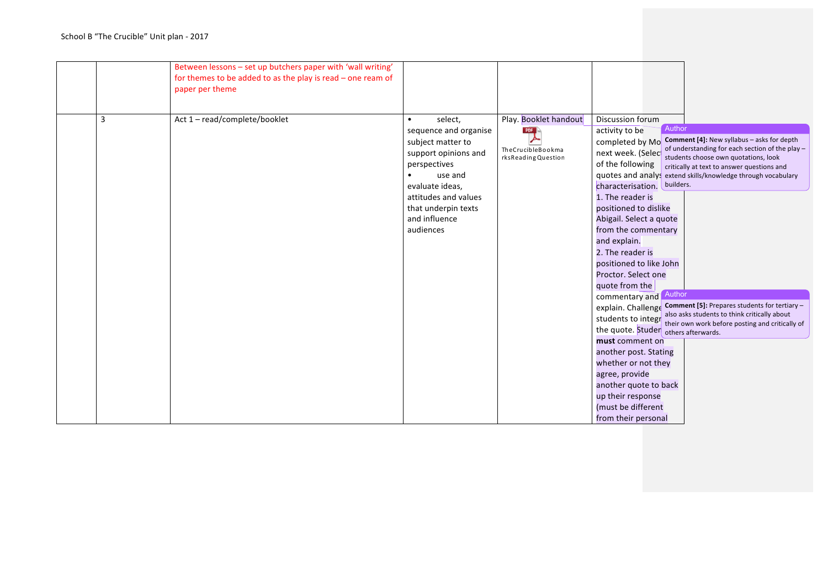|   | Between lessons - set up butchers paper with 'wall writing'<br>for themes to be added to as the play is read $-$ one ream of<br>paper per theme |                                                                                                                                                                                                                       |                                                                  |                                                                                                                                                                                                                                                                                                                                                                                                                                                                                                                                                                                                    |                                                                                                                                                                                                                                                                                                                                                                                                                                                    |
|---|-------------------------------------------------------------------------------------------------------------------------------------------------|-----------------------------------------------------------------------------------------------------------------------------------------------------------------------------------------------------------------------|------------------------------------------------------------------|----------------------------------------------------------------------------------------------------------------------------------------------------------------------------------------------------------------------------------------------------------------------------------------------------------------------------------------------------------------------------------------------------------------------------------------------------------------------------------------------------------------------------------------------------------------------------------------------------|----------------------------------------------------------------------------------------------------------------------------------------------------------------------------------------------------------------------------------------------------------------------------------------------------------------------------------------------------------------------------------------------------------------------------------------------------|
| 3 | Act 1 - read/complete/booklet                                                                                                                   | select,<br>$\bullet$<br>sequence and organise<br>subject matter to<br>support opinions and<br>perspectives<br>use and<br>evaluate ideas,<br>attitudes and values<br>that underpin texts<br>and influence<br>audiences | Play. Booklet handout<br>TheCrucibleBookma<br>rksReadingQuestion | Discussion forum<br>Author<br>activity to be<br>completed by Mo<br>next week. (Selec<br>of the following<br>characterisation. builders.<br>1. The reader is<br>positioned to dislike<br>Abigail. Select a quote<br>from the commentary<br>and explain.<br>2. The reader is<br>positioned to like John<br>Proctor. Select one<br>quote from the<br>Author<br>commentary and<br>the quote. Studer others afterwards.<br>must comment on<br>another post. Stating<br>whether or not they<br>agree, provide<br>another quote to back<br>up their response<br>(must be different<br>from their personal | Comment [4]: New syllabus - asks for depth<br>of understanding for each section of the play -<br>students choose own quotations, look<br>critically at text to answer questions and<br>quotes and analys extend skills/knowledge through vocabulary<br>explain. Challenge Comment [5]: Prepares students for tertiary-<br>also asks students to think critically about<br>students to integr about their own work before posting and critically of |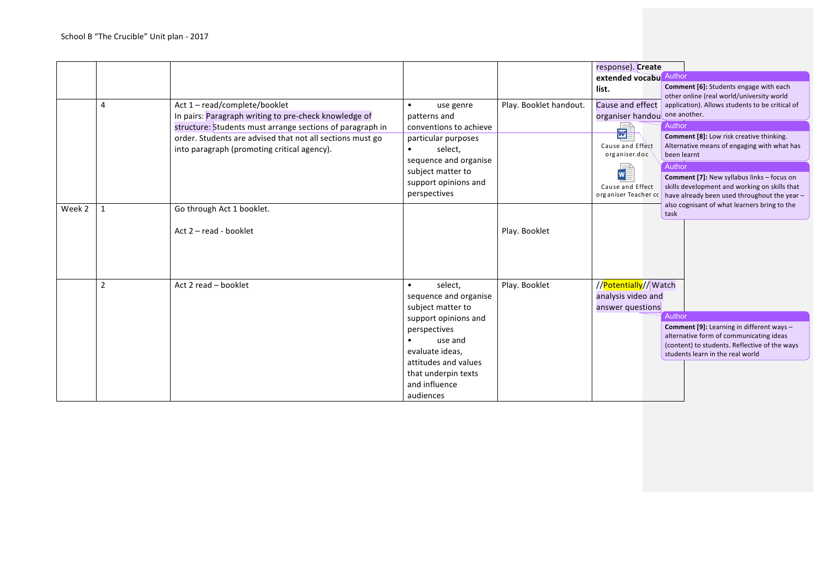|        |                |                                                                                                                                                                                                                                                               |                                                                                                                                                                                                                       |                        | response). Create                                                                                                          |                                                                                                                                                                                                                                                                                                                                                     |
|--------|----------------|---------------------------------------------------------------------------------------------------------------------------------------------------------------------------------------------------------------------------------------------------------------|-----------------------------------------------------------------------------------------------------------------------------------------------------------------------------------------------------------------------|------------------------|----------------------------------------------------------------------------------------------------------------------------|-----------------------------------------------------------------------------------------------------------------------------------------------------------------------------------------------------------------------------------------------------------------------------------------------------------------------------------------------------|
|        |                |                                                                                                                                                                                                                                                               |                                                                                                                                                                                                                       |                        | extended vocabu                                                                                                            | Author                                                                                                                                                                                                                                                                                                                                              |
|        |                |                                                                                                                                                                                                                                                               |                                                                                                                                                                                                                       |                        | list.                                                                                                                      | Comment [6]: Students engage with each<br>other online (real world/university world                                                                                                                                                                                                                                                                 |
|        | $\overline{4}$ | Act 1-read/complete/booklet<br>In pairs: Paragraph writing to pre-check knowledge of<br>structure: Students must arrange sections of paragraph in<br>order. Students are advised that not all sections must go<br>into paragraph (promoting critical agency). | use genre<br>$\bullet$<br>patterns and<br>conventions to achieve<br>particular purposes<br>select.<br>$\bullet$<br>sequence and organise<br>subject matter to<br>support opinions and<br>perspectives                 | Play. Booklet handout. | Cause and effect<br>organiser handou<br>朂<br>Cause and Effect<br>organiser.doc<br>Cause and Effect<br>organiser Teacher cc | application). Allows students to be critical of<br>one another.<br>Author<br><b>Comment [8]:</b> Low risk creative thinking.<br>Alternative means of engaging with what has<br>been learnt<br>Author<br>Comment [7]: New syllabus links - focus on<br>skills development and working on skills that<br>have already been used throughout the year - |
| Week 2 |                | Go through Act 1 booklet.<br>Act 2 - read - booklet                                                                                                                                                                                                           |                                                                                                                                                                                                                       | Play. Booklet          |                                                                                                                            | also cognisant of what learners bring to the<br>task                                                                                                                                                                                                                                                                                                |
|        | $\overline{2}$ | Act 2 read - booklet                                                                                                                                                                                                                                          | select,<br>$\bullet$<br>sequence and organise<br>subject matter to<br>support opinions and<br>perspectives<br>use and<br>evaluate ideas,<br>attitudes and values<br>that underpin texts<br>and influence<br>audiences | Play. Booklet          | //Potentially//Watch<br>analysis video and<br>answer questions                                                             | Author<br>Comment [9]: Learning in different ways -<br>alternative form of communicating ideas<br>(content) to students. Reflective of the ways<br>students learn in the real world                                                                                                                                                                 |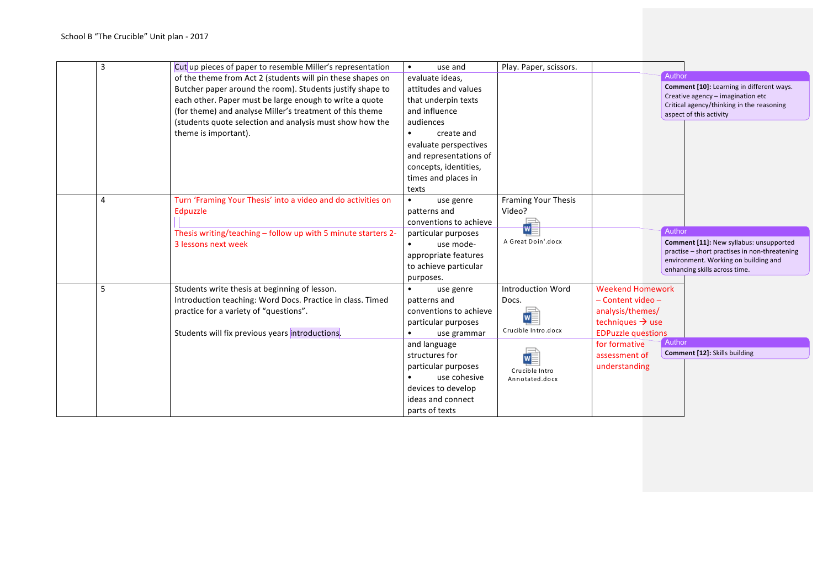| 3 | Cut up pieces of paper to resemble Miller's representation    | use and<br>$\bullet$    | Play. Paper, scissors.     |                              |                                                                                       |
|---|---------------------------------------------------------------|-------------------------|----------------------------|------------------------------|---------------------------------------------------------------------------------------|
|   | of the theme from Act 2 (students will pin these shapes on    | evaluate ideas,         |                            |                              | Author                                                                                |
|   | Butcher paper around the room). Students justify shape to     | attitudes and values    |                            |                              | Comment [10]: Learning in different ways.                                             |
|   | each other. Paper must be large enough to write a quote       | that underpin texts     |                            |                              | Creative agency - imagination etc<br>Critical agency/thinking in the reasoning        |
|   | (for theme) and analyse Miller's treatment of this theme      | and influence           |                            |                              | aspect of this activity                                                               |
|   | (students quote selection and analysis must show how the      | audiences               |                            |                              |                                                                                       |
|   | theme is important).                                          | create and<br>$\bullet$ |                            |                              |                                                                                       |
|   |                                                               | evaluate perspectives   |                            |                              |                                                                                       |
|   |                                                               | and representations of  |                            |                              |                                                                                       |
|   |                                                               | concepts, identities,   |                            |                              |                                                                                       |
|   |                                                               | times and places in     |                            |                              |                                                                                       |
|   |                                                               | texts                   |                            |                              |                                                                                       |
| 4 | Turn 'Framing Your Thesis' into a video and do activities on  | $\bullet$<br>use genre  | <b>Framing Your Thesis</b> |                              |                                                                                       |
|   | Edpuzzle                                                      | patterns and            | Video?                     |                              |                                                                                       |
|   |                                                               | conventions to achieve  |                            |                              |                                                                                       |
|   | Thesis writing/teaching - follow up with 5 minute starters 2- | particular purposes     |                            |                              | Author                                                                                |
|   | 3 lessons next week                                           | use mode-               | A Great Doin'.docx         |                              | Comment [11]: New syllabus: unsupported                                               |
|   |                                                               | appropriate features    |                            |                              | practise - short practises in non-threatening<br>environment. Working on building and |
|   |                                                               | to achieve particular   |                            |                              | enhancing skills across time.                                                         |
|   |                                                               | purposes.               |                            |                              |                                                                                       |
| 5 | Students write thesis at beginning of lesson.                 | $\bullet$<br>use genre  | <b>Introduction Word</b>   | <b>Weekend Homework</b>      |                                                                                       |
|   | Introduction teaching: Word Docs. Practice in class. Timed    | patterns and            | Docs.                      | - Content video -            |                                                                                       |
|   | practice for a variety of "questions".                        | conventions to achieve  |                            | analysis/themes/             |                                                                                       |
|   |                                                               | particular purposes     |                            | techniques $\rightarrow$ use |                                                                                       |
|   | Students will fix previous years introductions.               | use grammar             | Crucible Intro.docx        | <b>EDPuzzle questions</b>    |                                                                                       |
|   |                                                               | and language            |                            | for formative                | Author                                                                                |
|   |                                                               | structures for          |                            | assessment of                | Comment [12]: Skills building                                                         |
|   |                                                               | particular purposes     | Crucible Intro             | understanding                |                                                                                       |
|   |                                                               | use cohesive            | Annotated.docx             |                              |                                                                                       |
|   |                                                               | devices to develop      |                            |                              |                                                                                       |
|   |                                                               | ideas and connect       |                            |                              |                                                                                       |
|   |                                                               | parts of texts          |                            |                              |                                                                                       |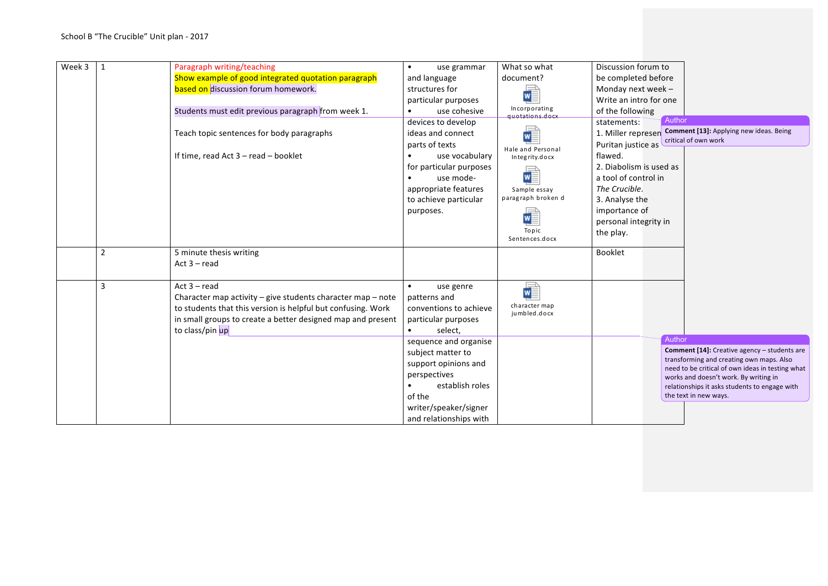| Week 3 | $\mathbf{1}$   | Paragraph writing/teaching<br>Show example of good integrated quotation paragraph<br>based on discussion forum homework.<br>Students must edit previous paragraph from week 1.                                                      | use grammar<br>and language<br>structures for<br>particular purposes<br>use cohesive                                                                                              | What so what<br>document?<br>Incorporating                                                            | Discussion forum to<br>be completed before<br>Monday next week -<br>Write an intro for one<br>of the following                                                                                      |                                                                                                                                                                                                                                                                 |
|--------|----------------|-------------------------------------------------------------------------------------------------------------------------------------------------------------------------------------------------------------------------------------|-----------------------------------------------------------------------------------------------------------------------------------------------------------------------------------|-------------------------------------------------------------------------------------------------------|-----------------------------------------------------------------------------------------------------------------------------------------------------------------------------------------------------|-----------------------------------------------------------------------------------------------------------------------------------------------------------------------------------------------------------------------------------------------------------------|
|        |                | Teach topic sentences for body paragraphs<br>If time, read Act 3 - read - booklet                                                                                                                                                   | devices to develop<br>ideas and connect<br>parts of texts<br>use vocabulary<br>for particular purposes<br>use mode-<br>appropriate features<br>to achieve particular<br>purposes. | quotations.docx<br>Hale and Personal<br>Integrity.docx<br>Sample essay<br>paragraph broken d<br>Topic | Author<br>statements:<br>Puritan justice as<br>flawed.<br>2. Diabolism is used as<br>a tool of control in<br>The Crucible.<br>3. Analyse the<br>importance of<br>personal integrity in<br>the play. | 1. Miller represen Comment [13]: Applying new ideas. Being<br>critical of own work                                                                                                                                                                              |
|        | $\overline{2}$ | 5 minute thesis writing<br>Act $3 - read$                                                                                                                                                                                           |                                                                                                                                                                                   | Sentences.docx                                                                                        | Booklet                                                                                                                                                                                             |                                                                                                                                                                                                                                                                 |
|        | 3              | Act $3 - read$<br>Character map activity $-$ give students character map $-$ note<br>to students that this version is helpful but confusing. Work<br>in small groups to create a better designed map and present<br>to class/pin up | use genre<br>patterns and<br>conventions to achieve<br>particular purposes<br>select,                                                                                             | W<br>character map<br>jumbled.docx                                                                    |                                                                                                                                                                                                     |                                                                                                                                                                                                                                                                 |
|        |                |                                                                                                                                                                                                                                     | sequence and organise<br>subject matter to<br>support opinions and<br>perspectives<br>establish roles<br>of the<br>writer/speaker/signer<br>and relationships with                |                                                                                                       | Author                                                                                                                                                                                              | Comment [14]: Creative agency - students are<br>transforming and creating own maps. Also<br>need to be critical of own ideas in testing what<br>works and doesn't work. By writing in<br>relationships it asks students to engage with<br>the text in new ways. |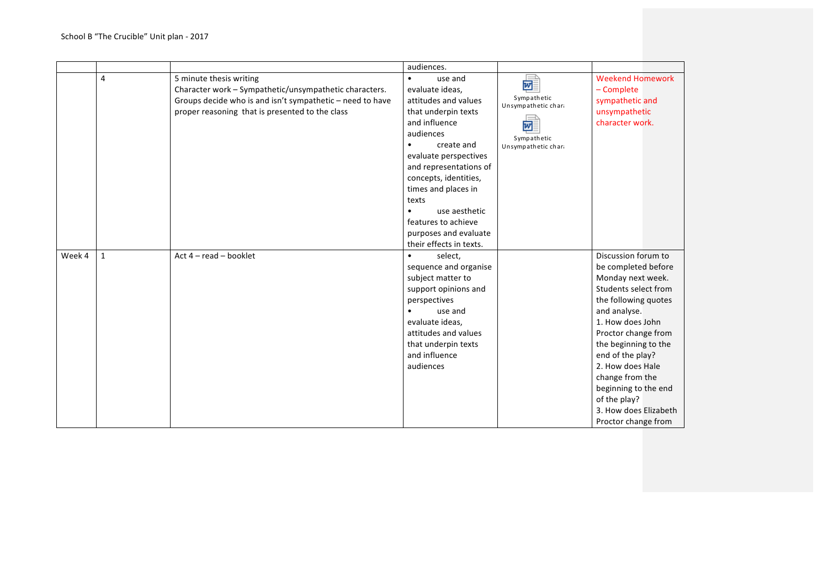|        |              |                                                           | audiences.                           |                     |                         |
|--------|--------------|-----------------------------------------------------------|--------------------------------------|---------------------|-------------------------|
|        | 4            | 5 minute thesis writing                                   | use and<br>$\bullet$                 |                     | <b>Weekend Homework</b> |
|        |              | Character work - Sympathetic/unsympathetic characters.    | evaluate ideas,                      | d                   | - Complete              |
|        |              | Groups decide who is and isn't sympathetic - need to have | attitudes and values                 | Sympathetic         | sympathetic and         |
|        |              | proper reasoning that is presented to the class           |                                      | Unsympathetic chara | unsympathetic           |
|        |              |                                                           | that underpin texts<br>and influence |                     |                         |
|        |              |                                                           |                                      | w                   | character work.         |
|        |              |                                                           | audiences                            | Sympathetic         |                         |
|        |              |                                                           | create and                           | Unsympathetic chara |                         |
|        |              |                                                           | evaluate perspectives                |                     |                         |
|        |              |                                                           | and representations of               |                     |                         |
|        |              |                                                           | concepts, identities,                |                     |                         |
|        |              |                                                           | times and places in                  |                     |                         |
|        |              |                                                           | texts                                |                     |                         |
|        |              |                                                           | use aesthetic<br>$\bullet$           |                     |                         |
|        |              |                                                           | features to achieve                  |                     |                         |
|        |              |                                                           | purposes and evaluate                |                     |                         |
|        |              |                                                           | their effects in texts.              |                     |                         |
| Week 4 | $\mathbf{1}$ | Act $4 - read - booklet$                                  | select,<br>$\bullet$                 |                     | Discussion forum to     |
|        |              |                                                           | sequence and organise                |                     | be completed before     |
|        |              |                                                           | subject matter to                    |                     | Monday next week.       |
|        |              |                                                           | support opinions and                 |                     | Students select from    |
|        |              |                                                           | perspectives                         |                     | the following quotes    |
|        |              |                                                           | use and                              |                     | and analyse.            |
|        |              |                                                           | evaluate ideas,                      |                     | 1. How does John        |
|        |              |                                                           | attitudes and values                 |                     | Proctor change from     |
|        |              |                                                           | that underpin texts                  |                     | the beginning to the    |
|        |              |                                                           | and influence                        |                     | end of the play?        |
|        |              |                                                           | audiences                            |                     | 2. How does Hale        |
|        |              |                                                           |                                      |                     | change from the         |
|        |              |                                                           |                                      |                     | beginning to the end    |
|        |              |                                                           |                                      |                     | of the play?            |
|        |              |                                                           |                                      |                     |                         |
|        |              |                                                           |                                      |                     | 3. How does Elizabeth   |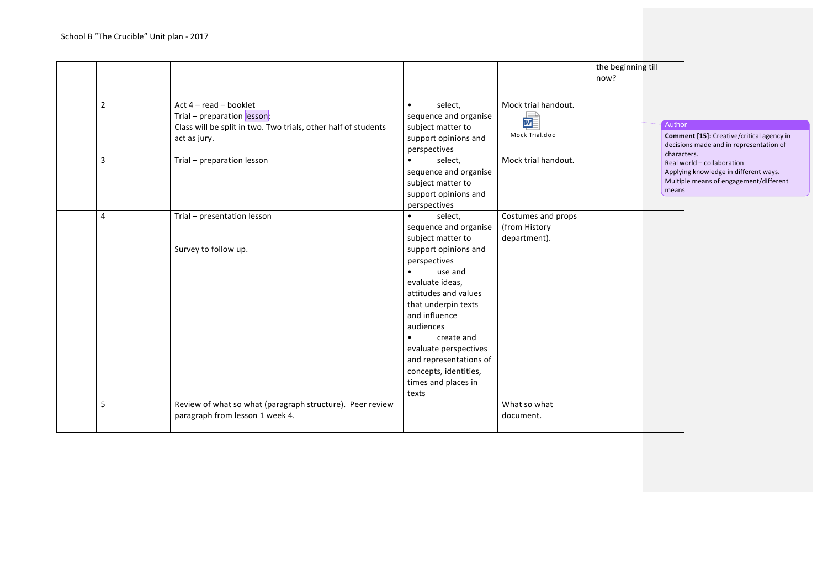|                |                                                                |                         |                     | the beginning till<br>now? |             |                                           |
|----------------|----------------------------------------------------------------|-------------------------|---------------------|----------------------------|-------------|-------------------------------------------|
|                |                                                                |                         |                     |                            |             |                                           |
| $\overline{2}$ | Act 4 - read - booklet                                         | select,<br>$\bullet$    | Mock trial handout. |                            |             |                                           |
|                | Trial - preparation lesson:                                    | sequence and organise   | 鼂                   |                            |             |                                           |
|                | Class will be split in two. Two trials, other half of students | subject matter to       |                     |                            | Author      |                                           |
|                | act as jury.                                                   | support opinions and    | Mock Trial.doc      |                            |             | Comment [15]: Creative/critical agency in |
|                |                                                                | perspectives            |                     |                            | characters. | decisions made and in representation of   |
| 3              | Trial - preparation lesson                                     | select,<br>$\bullet$    | Mock trial handout. |                            |             | Real world - collaboration                |
|                |                                                                | sequence and organise   |                     |                            |             | Applying knowledge in different ways.     |
|                |                                                                | subject matter to       |                     |                            |             | Multiple means of engagement/different    |
|                |                                                                | support opinions and    |                     |                            | means       |                                           |
|                |                                                                | perspectives            |                     |                            |             |                                           |
| 4              | Trial - presentation lesson                                    | select,<br>$\bullet$    | Costumes and props  |                            |             |                                           |
|                |                                                                | sequence and organise   | (from History       |                            |             |                                           |
|                |                                                                | subject matter to       | department).        |                            |             |                                           |
|                | Survey to follow up.                                           | support opinions and    |                     |                            |             |                                           |
|                |                                                                | perspectives            |                     |                            |             |                                           |
|                |                                                                | use and<br>$\bullet$    |                     |                            |             |                                           |
|                |                                                                | evaluate ideas,         |                     |                            |             |                                           |
|                |                                                                | attitudes and values    |                     |                            |             |                                           |
|                |                                                                | that underpin texts     |                     |                            |             |                                           |
|                |                                                                | and influence           |                     |                            |             |                                           |
|                |                                                                | audiences               |                     |                            |             |                                           |
|                |                                                                | create and<br>$\bullet$ |                     |                            |             |                                           |
|                |                                                                | evaluate perspectives   |                     |                            |             |                                           |
|                |                                                                | and representations of  |                     |                            |             |                                           |
|                |                                                                | concepts, identities,   |                     |                            |             |                                           |
|                |                                                                | times and places in     |                     |                            |             |                                           |
|                |                                                                | texts                   |                     |                            |             |                                           |
| 5              | Review of what so what (paragraph structure). Peer review      |                         | What so what        |                            |             |                                           |
|                | paragraph from lesson 1 week 4.                                |                         | document.           |                            |             |                                           |
|                |                                                                |                         |                     |                            |             |                                           |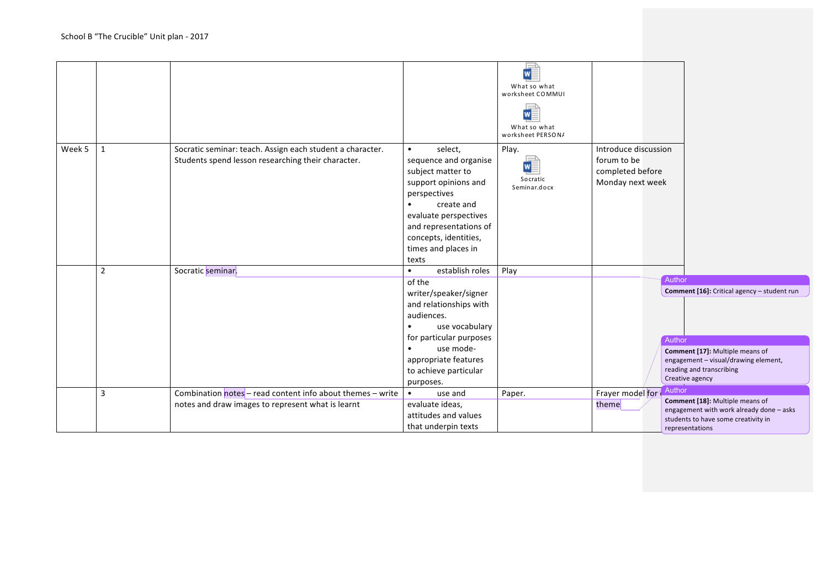|        |                |                                                                                                                 |                                                                                                                                                                                                                                                           | <b>WE</b><br>What so what<br>worksheet COMMUI<br>$\vert$ w<br>What so what<br>worksheet PERSON/ |                                                                             |                                                                                                                                                                                           |
|--------|----------------|-----------------------------------------------------------------------------------------------------------------|-----------------------------------------------------------------------------------------------------------------------------------------------------------------------------------------------------------------------------------------------------------|-------------------------------------------------------------------------------------------------|-----------------------------------------------------------------------------|-------------------------------------------------------------------------------------------------------------------------------------------------------------------------------------------|
| Week 5 | $\mathbf{1}$   | Socratic seminar: teach. Assign each student a character.<br>Students spend lesson researching their character. | select,<br>$\bullet$<br>sequence and organise<br>subject matter to<br>support opinions and<br>perspectives<br>create and<br>evaluate perspectives<br>and representations of<br>concepts, identities,<br>times and places in<br>texts                      | Play.<br>$\vert$ w<br>Socratic<br>Seminar.docx                                                  | Introduce discussion<br>forum to be<br>completed before<br>Monday next week |                                                                                                                                                                                           |
|        | $\overline{2}$ | Socratic seminar                                                                                                | establish roles<br>$\bullet$<br>of the<br>writer/speaker/signer<br>and relationships with<br>audiences.<br>use vocabulary<br>$\bullet$<br>for particular purposes<br>use mode-<br>$\bullet$<br>appropriate features<br>to achieve particular<br>purposes. | Play                                                                                            |                                                                             | Author<br>Comment [16]: Critical agency - student run<br>Author<br>Comment [17]: Multiple means of<br>engagement - visual/drawing element,<br>reading and transcribing<br>Creative agency |
|        | 3              | Combination notes - read content info about themes - write<br>notes and draw images to represent what is learnt | use and<br>evaluate ideas,<br>attitudes and values<br>that underpin texts                                                                                                                                                                                 | Paper.                                                                                          | Frayer model for<br>theme                                                   | Author<br>Comment [18]: Multiple means of<br>engagement with work already done - asks<br>students to have some creativity in<br>representations                                           |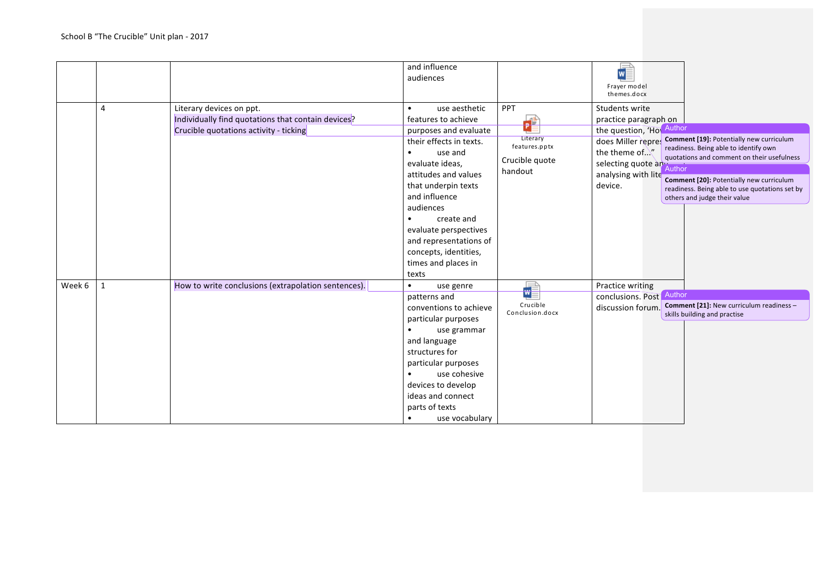|        |              |                                                                                                                          | and influence<br>audiences                                                                                                                                                                                                                                                                                                           |                                                                           | WE<br>Frayer model<br>themes.docx                                                                                                                                                                                                                                                                                                                                                                                                                          |
|--------|--------------|--------------------------------------------------------------------------------------------------------------------------|--------------------------------------------------------------------------------------------------------------------------------------------------------------------------------------------------------------------------------------------------------------------------------------------------------------------------------------|---------------------------------------------------------------------------|------------------------------------------------------------------------------------------------------------------------------------------------------------------------------------------------------------------------------------------------------------------------------------------------------------------------------------------------------------------------------------------------------------------------------------------------------------|
|        | 4            | Literary devices on ppt.<br>Individually find quotations that contain devices?<br>Crucible quotations activity - ticking | use aesthetic<br>$\bullet$<br>features to achieve<br>purposes and evaluate<br>their effects in texts.<br>use and<br>$\bullet$<br>evaluate ideas,<br>attitudes and values<br>that underpin texts<br>and influence<br>audiences<br>create and<br>$\bullet$<br>evaluate perspectives<br>and representations of<br>concepts, identities, | <b>PPT</b><br>ď<br>Literary<br>features.pptx<br>Crucible quote<br>handout | Students write<br>practice paragraph on<br>the question, 'How Author<br>Comment [19]: Potentially new curriculum<br>does Miller repres<br>readiness. Being able to identify own<br>the theme of $\mathcal{N}'$<br>quotations and comment on their usefulness<br>selecting quote and Author<br>analysing with lite<br>Comment [20]: Potentially new curriculum<br>device.<br>readiness. Being able to use quotations set by<br>others and judge their value |
| Week 6 | $\mathbf{1}$ | How to write conclusions (extrapolation sentences).                                                                      | times and places in<br>texts<br>use genre<br>$\bullet$                                                                                                                                                                                                                                                                               | $\frac{1}{\sqrt{2}}$                                                      | Practice writing                                                                                                                                                                                                                                                                                                                                                                                                                                           |
|        |              |                                                                                                                          | patterns and<br>conventions to achieve<br>particular purposes<br>use grammar<br>$\bullet$<br>and language<br>structures for<br>particular purposes<br>use cohesive<br>$\bullet$<br>devices to develop<br>ideas and connect<br>parts of texts<br>use vocabulary                                                                       | Crucible<br>Conclusion.docx                                               | Author<br>conclusions. Post<br>Comment [21]: New curriculum readiness -<br>discussion forum.<br>skills building and practise                                                                                                                                                                                                                                                                                                                               |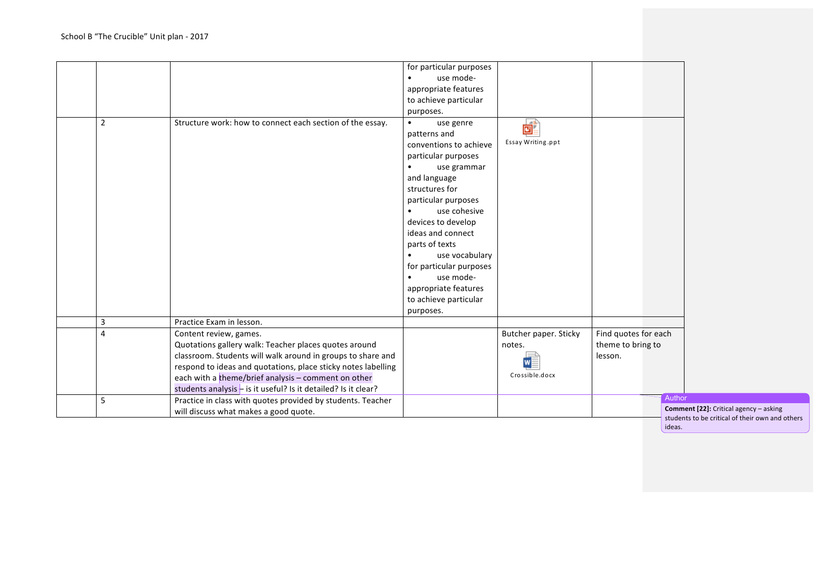| for particular purposes<br>use mode-<br>appropriate features<br>to achieve particular<br>purposes.<br>$\overline{2}$<br>Structure work: how to connect each section of the essay.<br>$\mathbf{E}$<br>use genre<br>$\bullet$<br>patterns and<br>Essay Writing.ppt<br>conventions to achieve<br>particular purposes<br>use grammar<br>and language<br>structures for<br>particular purposes<br>use cohesive<br>devices to develop<br>ideas and connect<br>parts of texts<br>use vocabulary<br>for particular purposes<br>use mode-<br>appropriate features<br>to achieve particular<br>purposes.<br>3<br>Practice Exam in lesson.<br>Butcher paper. Sticky<br>Find quotes for each<br>Content review, games.<br>4<br>Quotations gallery walk: Teacher places quotes around<br>theme to bring to<br>notes.<br>classroom. Students will walk around in groups to share and<br>lesson.<br>WE<br>respond to ideas and quotations, place sticky notes labelling<br>Crossible.docx<br>each with a theme/brief analysis - comment on other<br>students analysis $-$ is it useful? Is it detailed? Is it clear?<br>Practice in class with quotes provided by students. Teacher<br>5<br>Comment [22]: Critical agency - asking<br>will discuss what makes a good quote. |  |  |  |                                                      |
|--------------------------------------------------------------------------------------------------------------------------------------------------------------------------------------------------------------------------------------------------------------------------------------------------------------------------------------------------------------------------------------------------------------------------------------------------------------------------------------------------------------------------------------------------------------------------------------------------------------------------------------------------------------------------------------------------------------------------------------------------------------------------------------------------------------------------------------------------------------------------------------------------------------------------------------------------------------------------------------------------------------------------------------------------------------------------------------------------------------------------------------------------------------------------------------------------------------------------------------------------------------|--|--|--|------------------------------------------------------|
|                                                                                                                                                                                                                                                                                                                                                                                                                                                                                                                                                                                                                                                                                                                                                                                                                                                                                                                                                                                                                                                                                                                                                                                                                                                              |  |  |  |                                                      |
|                                                                                                                                                                                                                                                                                                                                                                                                                                                                                                                                                                                                                                                                                                                                                                                                                                                                                                                                                                                                                                                                                                                                                                                                                                                              |  |  |  |                                                      |
|                                                                                                                                                                                                                                                                                                                                                                                                                                                                                                                                                                                                                                                                                                                                                                                                                                                                                                                                                                                                                                                                                                                                                                                                                                                              |  |  |  |                                                      |
|                                                                                                                                                                                                                                                                                                                                                                                                                                                                                                                                                                                                                                                                                                                                                                                                                                                                                                                                                                                                                                                                                                                                                                                                                                                              |  |  |  |                                                      |
|                                                                                                                                                                                                                                                                                                                                                                                                                                                                                                                                                                                                                                                                                                                                                                                                                                                                                                                                                                                                                                                                                                                                                                                                                                                              |  |  |  |                                                      |
|                                                                                                                                                                                                                                                                                                                                                                                                                                                                                                                                                                                                                                                                                                                                                                                                                                                                                                                                                                                                                                                                                                                                                                                                                                                              |  |  |  |                                                      |
|                                                                                                                                                                                                                                                                                                                                                                                                                                                                                                                                                                                                                                                                                                                                                                                                                                                                                                                                                                                                                                                                                                                                                                                                                                                              |  |  |  |                                                      |
|                                                                                                                                                                                                                                                                                                                                                                                                                                                                                                                                                                                                                                                                                                                                                                                                                                                                                                                                                                                                                                                                                                                                                                                                                                                              |  |  |  |                                                      |
|                                                                                                                                                                                                                                                                                                                                                                                                                                                                                                                                                                                                                                                                                                                                                                                                                                                                                                                                                                                                                                                                                                                                                                                                                                                              |  |  |  |                                                      |
|                                                                                                                                                                                                                                                                                                                                                                                                                                                                                                                                                                                                                                                                                                                                                                                                                                                                                                                                                                                                                                                                                                                                                                                                                                                              |  |  |  |                                                      |
|                                                                                                                                                                                                                                                                                                                                                                                                                                                                                                                                                                                                                                                                                                                                                                                                                                                                                                                                                                                                                                                                                                                                                                                                                                                              |  |  |  | Author                                               |
|                                                                                                                                                                                                                                                                                                                                                                                                                                                                                                                                                                                                                                                                                                                                                                                                                                                                                                                                                                                                                                                                                                                                                                                                                                                              |  |  |  | students to be critical of their own and o<br>ideas. |

in and others